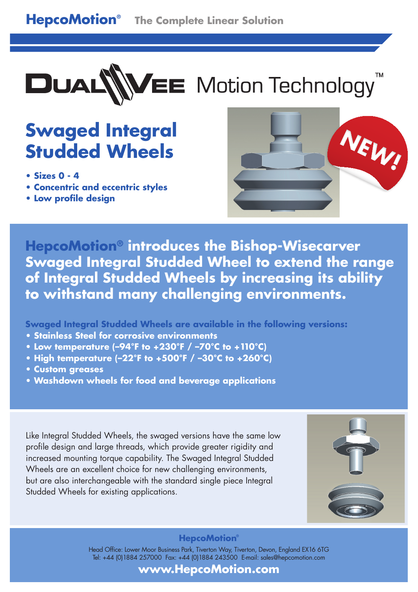

# **EE** Motion Technology

# **Swaged Integral Studded Wheels**

- **Sizes 0 4**
- **Concentric and eccentric styles**
- **Low profile design**



**HepcoMotion® introduces the Bishop-Wisecarver Swaged Integral Studded Wheel to extend the range of Integral Studded Wheels by increasing its ability to withstand many challenging environments.**

**Swaged Integral Studded Wheels are available in the following versions:**

- **Stainless Steel for corrosive environments**
- **Low temperature (–94°F to +230°F / –70°C to +110°C)**
- **High temperature (–22°F to +500°F / –30°C to +260°C)**
- **Custom greases**
- **Washdown wheels for food and beverage applications**

Like Integral Studded Wheels, the swaged versions have the same low profile design and large threads, which provide greater rigidity and increased mounting torque capability. The Swaged Integral Studded Wheels are an excellent choice for new challenging environments, but are also interchangeable with the standard single piece Integral Studded Wheels for existing applications.



## **HepcoMotion®**

Head Office: Lower Moor Business Park, Tiverton Way, Tiverton, Devon, England EX16 6TG Tel: +44 (0)1884 257000 Fax: +44 (0)1884 243500 E-mail: sales@hepcomotion.com

**www.HepcoMotion.com**